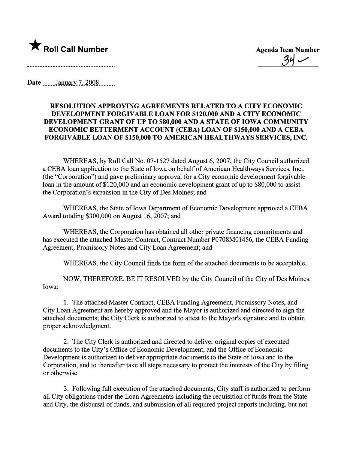

 $\frac{87}{10}$ 

Date  $J_{\text{anuary}}$  7, 2008

## RESOLUTION APPROVING AGREEMENTS RELATED TO A CITY ECONOMIC DEVELOPMENT FORGIVABLE LOAN FOR \$120,000 AND A CITY ECONOMIC DEVELOPMENT GRANT OF UP TO \$80,000 AND A STATE OF IOWA COMMUNITY ECONOMIC BETTERMENT ACCOUNT (CEBA) LOAN OF \$150,000 AND A CEBA FORGIVABLE LOAN OF \$150,000 TO AMERICAN HEALTHWAYS SERVICES, INC.

WHEREAS, by Roll Call No. 07-1527 dated August 6, 2007, the City Council authorized a CEBA loan application to the State of Iowa on behalf of American Healthways Services, Inc.. (the "Corporation") and gave preliminary approval for a City economic development forgivable loan in the amount of \$120,000 and an economic development grant of up to \$80,000 to assist the Corporation's expansion in the City of Des Moines; and

WHEREAS, the State of Iowa Deparment of Economic Development approved a CEBA Award totaling \$300,000 on August 16,2007; and

WHEREAS, the Corporation has obtained all other private financing commitments and has executed the attached Master Contract, Contract Number P0708M01456, the CEBA Funding Agreement, Promissory Notes and City Loan Agreement; and

WHEREAS, the City Council finds the form of the attached documents to be acceptable.

NOW, THEREFORE, BE IT RESOLVED by the City Council of the City of Des Moines, Iowa:

1. The attached Master Contract, CEBA Funding Agreement, Promissory Notes, and City Loan Agreement are hereby approved and the Mayor is authorized and directed to sign the attached documents; the City Clerk is authorized to attest to the Mayor's signature and to obtain proper acknowledgment.

2. The City Clerk is authorized and directed to deliver original copies of executed documents to the City's Office of Economic Development, and the Office of Economic Development is authorized to deliver appropriate documents to the State of Iowa and to the Corporation, and to thereafter take all steps necessary to protect the interests of the City by filing or otherwise.

3. Following full execution of the attached documents, City staff is authorized to perform all City obligations under the Loan Agreements including the requisition of funds from the State and City, the disbursal of funds, and submission of all required project reports including, but not